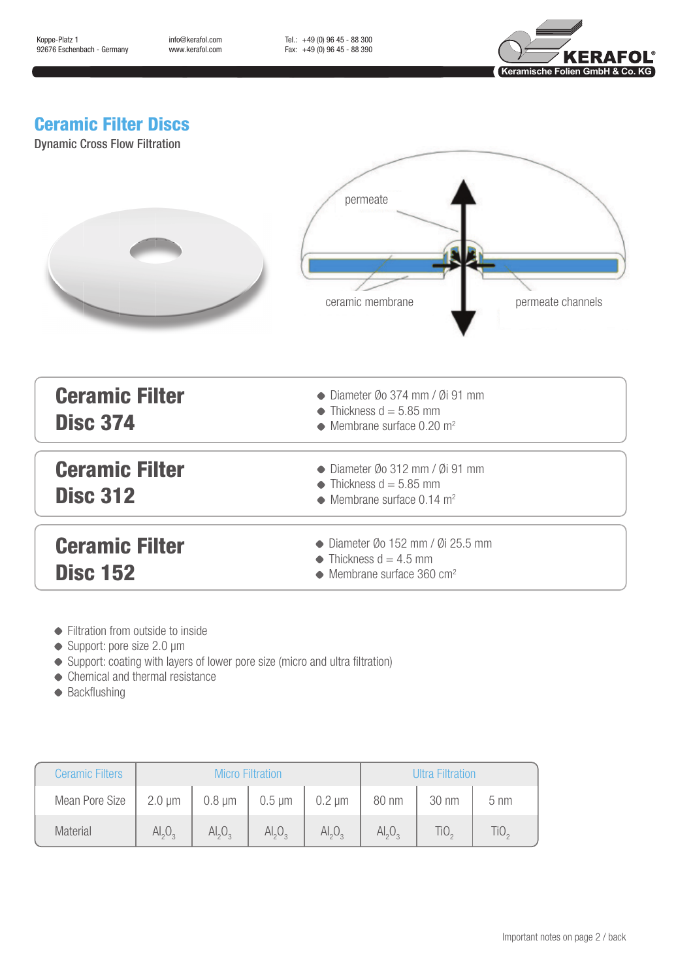info@kerafol.com www.kerafol.com Tel.: +49 (0) 96 45 - 88 300 Fax: +49 (0) 96 45 - 88 390



## Ceramic Filter Discs

Dynamic Cross Flow Filtration

|                                          | permeate<br>permeate channels<br>ceramic membrane                                                                             |  |  |  |  |  |
|------------------------------------------|-------------------------------------------------------------------------------------------------------------------------------|--|--|--|--|--|
| <b>Ceramic Filter</b><br><b>Disc 374</b> | $\bullet$ Diameter Øo 374 mm / Øi 91 mm<br>$\bullet$ Thickness d = 5.85 mm<br>$\bullet$ Membrane surface 0.20 m <sup>2</sup>  |  |  |  |  |  |
| <b>Ceramic Filter</b><br><b>Disc 312</b> | $\bullet$ Diameter Øo 312 mm / Øi 91 mm<br>$\bullet$ Thickness d = 5.85 mm<br>$\bullet$ Membrane surface 0.14 m <sup>2</sup>  |  |  |  |  |  |
| <b>Ceramic Filter</b><br><b>Disc 152</b> | $\bullet$ Diameter Øo 152 mm / Øi 25.5 mm<br>$\bullet$ Thickness d = 4.5 mm<br>$\bullet$ Membrane surface 360 cm <sup>2</sup> |  |  |  |  |  |

- Filtration from outside to inside
- Support: pore size 2.0 µm
- Support: coating with layers of lower pore size (micro and ultra filtration)
- Chemical and thermal resistance
- ◆ Backflushing

| <b>Ceramic Filters</b> | <b>Micro Filtration</b>        |                                |                                | Ultra Filtration               |                                |                  |                |
|------------------------|--------------------------------|--------------------------------|--------------------------------|--------------------------------|--------------------------------|------------------|----------------|
| Mean Pore Size         | $2.0 \mu m$                    | $0.8 \mu m$                    | $0.5 \mu m$                    | $0.2 \mu m$                    | 80 nm                          | 30 nm            | $5 \text{ nm}$ |
| <b>Material</b>        | AI <sub>2</sub> O <sub>2</sub> | AI <sub>2</sub> O <sub>3</sub> | AI <sub>2</sub> O <sub>2</sub> | AI <sub>2</sub> O <sub>2</sub> | AI <sub>2</sub> O <sub>2</sub> | TiO <sub>2</sub> | TiO,           |